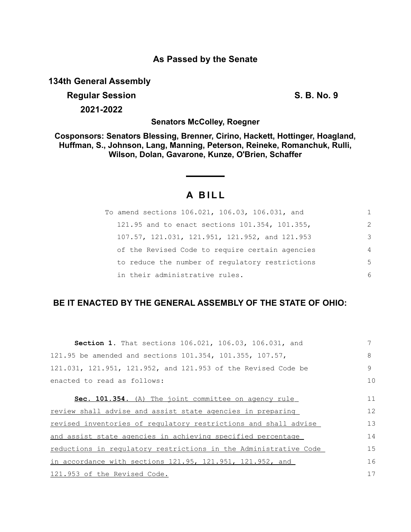## **As Passed by the Senate**

**134th General Assembly**

# **Regular Session S. B. No. 9 2021-2022**

**Senators McColley, Roegner**

**Cosponsors: Senators Blessing, Brenner, Cirino, Hackett, Hottinger, Hoagland, Huffman, S., Johnson, Lang, Manning, Peterson, Reineke, Romanchuk, Rulli, Wilson, Dolan, Gavarone, Kunze, O'Brien, Schaffer**

# **A B I L L**

| To amend sections 106.021, 106.03, 106.031, and |                |
|-------------------------------------------------|----------------|
| 121.95 and to enact sections 101.354, 101.355,  | 2              |
| 107.57, 121.031, 121.951, 121.952, and 121.953  | 3              |
| of the Revised Code to require certain agencies | $\overline{4}$ |
| to reduce the number of regulatory restrictions | 5              |
| in their administrative rules.                  | 6              |

# **BE IT ENACTED BY THE GENERAL ASSEMBLY OF THE STATE OF OHIO:**

| Section 1. That sections 106.021, 106.03, 106.031, and             |    |
|--------------------------------------------------------------------|----|
| 121.95 be amended and sections 101.354, 101.355, 107.57,           | 8  |
| 121.031, 121.951, 121.952, and 121.953 of the Revised Code be      | 9  |
| enacted to read as follows:                                        | 10 |
|                                                                    |    |
| Sec. 101.354. (A) The joint committee on agency rule               | 11 |
| review shall advise and assist state agencies in preparing         | 12 |
| revised inventories of regulatory restrictions and shall advise    | 13 |
| and assist state agencies in achieving specified percentage        | 14 |
| reductions in regulatory restrictions in the Administrative Code   | 15 |
| in accordance with sections $121.95$ , $121.951$ , $121.952$ , and | 16 |
| 121.953 of the Revised Code.                                       | 17 |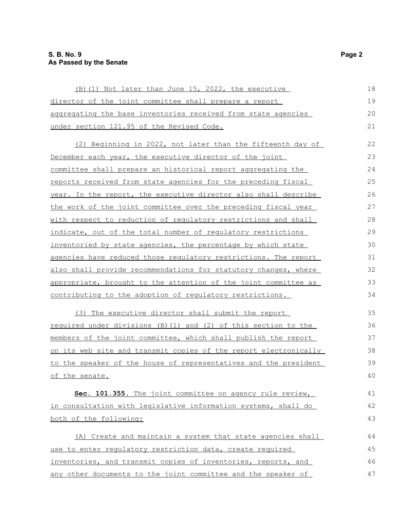### **S. B. No. 9 Page 2 As Passed by the Senate**

| (B) (1) Not later than June 15, 2022, the executive              | 18 |
|------------------------------------------------------------------|----|
| director of the joint committee shall prepare a report           | 19 |
| aggregating the base inventories received from state agencies    | 20 |
| under section 121.95 of the Revised Code.                        | 21 |
| (2) Beginning in 2022, not later than the fifteenth day of       | 22 |
| December each year, the executive director of the joint          | 23 |
| committee shall prepare an historical report aggregating the     | 24 |
| reports received from state agencies for the preceding fiscal    | 25 |
| year. In the report, the executive director also shall describe  | 26 |
| the work of the joint committee over the preceding fiscal year   | 27 |
| with respect to reduction of regulatory restrictions and shall   | 28 |
| indicate, out of the total number of regulatory restrictions     | 29 |
| inventoried by state agencies, the percentage by which state     | 30 |
| agencies have reduced those regulatory restrictions. The report  | 31 |
| also shall provide recommendations for statutory changes, where  | 32 |
| appropriate, brought to the attention of the joint committee as  | 33 |
| contributing to the adoption of regulatory restrictions.         | 34 |
| (3) The executive director shall submit the report               | 35 |
| required under divisions (B) (1) and (2) of this section to the  | 36 |
| members of the joint committee, which shall publish the report   | 37 |
| on its web site and transmit copies of the report electronically | 38 |
| to the speaker of the house of representatives and the president | 39 |
| of the senate.                                                   | 40 |
| Sec. 101.355. The joint committee on agency rule review,         | 41 |
| in consultation with legislative information systems, shall do   | 42 |
| both of the following:                                           | 43 |
| (A) Create and maintain a system that state agencies shall       | 44 |
| use to enter regulatory restriction data, create required        | 45 |
| inventories, and transmit copies of inventories, reports, and    | 46 |
| any other documents to the joint committee and the speaker of    | 47 |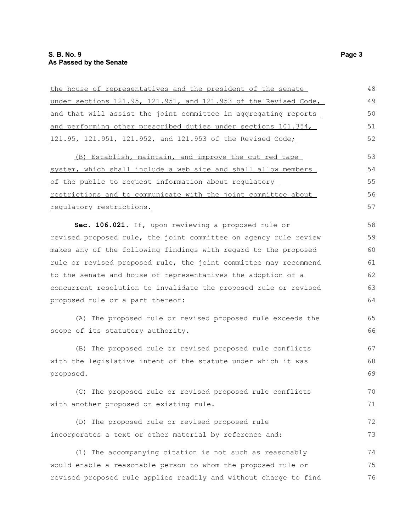| under sections 121.95, 121.951, and 121.953 of the Revised Code, | 49 |
|------------------------------------------------------------------|----|
|                                                                  |    |
| and that will assist the joint committee in aggregating reports  | 50 |
| and performing other prescribed duties under sections 101.354,   | 51 |
| 121.95, 121.951, 121.952, and 121.953 of the Revised Code;       | 52 |
| (B) Establish, maintain, and improve the cut red tape            | 53 |
| system, which shall include a web site and shall allow members   | 54 |
| of the public to request information about regulatory            | 55 |
| restrictions and to communicate with the joint committee about   | 56 |
| requlatory restrictions.                                         | 57 |
| Sec. 106.021. If, upon reviewing a proposed rule or              | 58 |
| revised proposed rule, the joint committee on agency rule review | 59 |
| makes any of the following findings with regard to the proposed  | 60 |
| rule or revised proposed rule, the joint committee may recommend | 61 |
| to the senate and house of representatives the adoption of a     | 62 |
| concurrent resolution to invalidate the proposed rule or revised | 63 |
| proposed rule or a part thereof:                                 | 64 |
| (A) The proposed rule or revised proposed rule exceeds the       | 65 |
| scope of its statutory authority.                                | 66 |
| (B) The proposed rule or revised proposed rule conflicts         | 67 |
| with the legislative intent of the statute under which it was    | 68 |
| proposed.                                                        | 69 |
| (C) The proposed rule or revised proposed rule conflicts         | 70 |
| with another proposed or existing rule.                          | 71 |
| (D) The proposed rule or revised proposed rule                   | 72 |
| incorporates a text or other material by reference and:          | 73 |
| (1) The accompanying citation is not such as reasonably          | 74 |
| would enable a reasonable person to whom the proposed rule or    | 75 |
| revised proposed rule applies readily and without charge to find | 76 |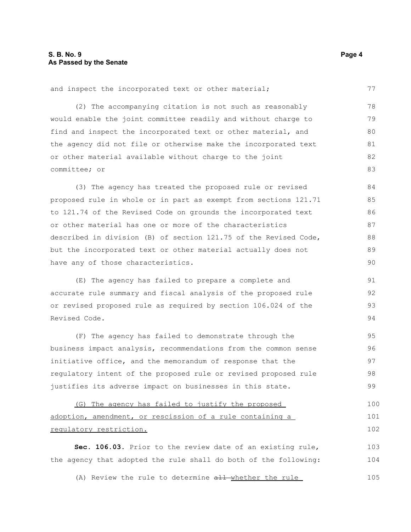and inspect the incorporated text or other material;

(2) The accompanying citation is not such as reasonably would enable the joint committee readily and without charge to find and inspect the incorporated text or other material, and the agency did not file or otherwise make the incorporated text or other material available without charge to the joint committee; or 78 79 80 81 82 83

(3) The agency has treated the proposed rule or revised proposed rule in whole or in part as exempt from sections 121.71 to 121.74 of the Revised Code on grounds the incorporated text or other material has one or more of the characteristics described in division (B) of section 121.75 of the Revised Code, but the incorporated text or other material actually does not have any of those characteristics. 84 85 86 87 88 89 90

(E) The agency has failed to prepare a complete and accurate rule summary and fiscal analysis of the proposed rule or revised proposed rule as required by section 106.024 of the Revised Code. 91 92 93 94

(F) The agency has failed to demonstrate through the business impact analysis, recommendations from the common sense initiative office, and the memorandum of response that the regulatory intent of the proposed rule or revised proposed rule justifies its adverse impact on businesses in this state. 95 96 97 98 99

(G) The agency has failed to justify the proposed adoption, amendment, or rescission of a rule containing a regulatory restriction. 100 101 102

**Sec. 106.03.** Prior to the review date of an existing rule, the agency that adopted the rule shall do both of the following: 103 104

(A) Review the rule to determine all whether the rule 105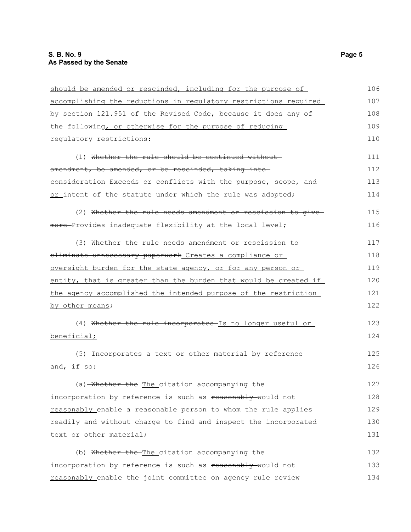| should be amended or rescinded, including for the purpose of     | 106 |
|------------------------------------------------------------------|-----|
| accomplishing the reductions in regulatory restrictions required | 107 |
| by section 121.951 of the Revised Code, because it does any of   | 108 |
| the following, or otherwise for the purpose of reducing          | 109 |
| regulatory restrictions:                                         | 110 |
| (1) Whether the rule should be continued without-                | 111 |
| amendment, be amended, or be rescinded, taking into              | 112 |
| eonsideration Exceeds or conflicts with the purpose, scope, and  | 113 |
| or intent of the statute under which the rule was adopted;       | 114 |
| (2) Whether the rule needs amendment or rescission to give-      | 115 |
| more-Provides inadequate_flexibility at the local level;         | 116 |
| (3) Whether the rule needs amendment or rescission to            | 117 |
| eliminate unnecessary paperwork Creates a compliance or          | 118 |
| oversight burden for the state agency, or for any person or      | 119 |
| entity, that is greater than the burden that would be created if | 120 |
| the agency accomplished the intended purpose of the restriction  | 121 |
| by other means;                                                  | 122 |
| (4) Whether the rule incorporates Is no longer useful or         | 123 |
| beneficial;                                                      | 124 |
| (5) Incorporates a text or other material by reference           | 125 |
| and, if so:                                                      | 126 |
| (a) Whether the The citation accompanying the                    | 127 |
| incorporation by reference is such as reasonably-would not       | 128 |
| reasonably enable a reasonable person to whom the rule applies   | 129 |
| readily and without charge to find and inspect the incorporated  | 130 |
| text or other material;                                          | 131 |
| (b) Whether the The citation accompanying the                    | 132 |
| incorporation by reference is such as reasonably-would not       | 133 |
| reasonably enable the joint committee on agency rule review      | 134 |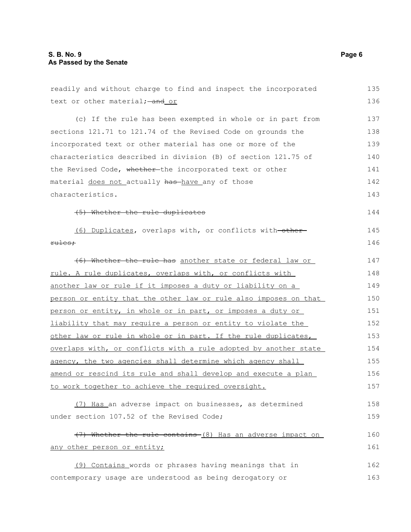#### **S. B. No. 9 Page 6 As Passed by the Senate**

readily and without charge to find and inspect the incorporated text or other material; - and or (c) If the rule has been exempted in whole or in part from sections 121.71 to 121.74 of the Revised Code on grounds the incorporated text or other material has one or more of the characteristics described in division (B) of section 121.75 of the Revised Code, whether-the incorporated text or other material does not actually has have any of those characteristics. (5) Whether the rule duplicates (6) Duplicates, overlaps with, or conflicts with other rules; (6) Whether the rule has another state or federal law or rule. A rule duplicates, overlaps with, or conflicts with another law or rule if it imposes a duty or liability on a person or entity that the other law or rule also imposes on that person or entity, in whole or in part, or imposes a duty or liability that may require a person or entity to violate the other law or rule in whole or in part. If the rule duplicates, overlaps with, or conflicts with a rule adopted by another state agency, the two agencies shall determine which agency shall amend or rescind its rule and shall develop and execute a plan to work together to achieve the required oversight. (7) Has an adverse impact on businesses, as determined under section 107.52 of the Revised Code; (7) Whether the rule contains (8) Has an adverse impact on any other person or entity; (9) Contains words or phrases having meanings that in contemporary usage are understood as being derogatory or 135 136 137 138 139 140 141 142 143 144 145 146 147 148 149 150 151 152 153 154 155 156 157 158 159 160 161 162 163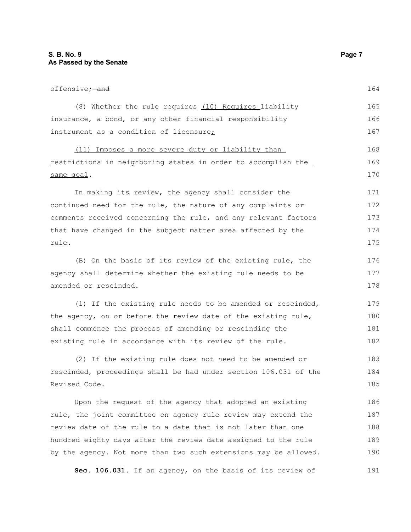offensive: and (8) Whether the rule requires (10) Requires liability insurance, a bond, or any other financial responsibility instrument as a condition of licensure; (11) Imposes a more severe duty or liability than restrictions in neighboring states in order to accomplish the same goal. In making its review, the agency shall consider the continued need for the rule, the nature of any complaints or comments received concerning the rule, and any relevant factors that have changed in the subject matter area affected by the rule. (B) On the basis of its review of the existing rule, the agency shall determine whether the existing rule needs to be amended or rescinded. (1) If the existing rule needs to be amended or rescinded, the agency, on or before the review date of the existing rule, shall commence the process of amending or rescinding the existing rule in accordance with its review of the rule. (2) If the existing rule does not need to be amended or rescinded, proceedings shall be had under section 106.031 of the Revised Code. Upon the request of the agency that adopted an existing rule, the joint committee on agency rule review may extend the review date of the rule to a date that is not later than one 164 165 166 167 168 169 170 171 172 173 174 175 176 177 178 179 180 181 182 183 184 185 186 187 188

hundred eighty days after the review date assigned to the rule by the agency. Not more than two such extensions may be allowed. 189 190

**Sec. 106.031.** If an agency, on the basis of its review of 191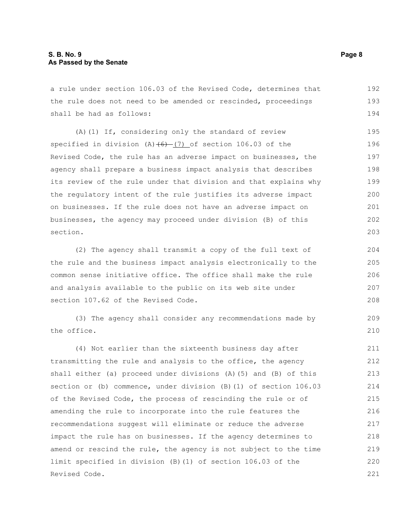#### **S. B. No. 9 Page 8 As Passed by the Senate**

a rule under section 106.03 of the Revised Code, determines that the rule does not need to be amended or rescinded, proceedings shall be had as follows: 192 193 194

(A)(1) If, considering only the standard of review specified in division  $(A)$   $(6)$   $(7)$  of section 106.03 of the Revised Code, the rule has an adverse impact on businesses, the agency shall prepare a business impact analysis that describes its review of the rule under that division and that explains why the regulatory intent of the rule justifies its adverse impact on businesses. If the rule does not have an adverse impact on businesses, the agency may proceed under division (B) of this section. 195 196 197 198 199 200 201 202 203

(2) The agency shall transmit a copy of the full text of the rule and the business impact analysis electronically to the common sense initiative office. The office shall make the rule and analysis available to the public on its web site under section 107.62 of the Revised Code.

(3) The agency shall consider any recommendations made by the office.

(4) Not earlier than the sixteenth business day after transmitting the rule and analysis to the office, the agency shall either (a) proceed under divisions (A)(5) and (B) of this section or (b) commence, under division (B)(1) of section 106.03 of the Revised Code, the process of rescinding the rule or of amending the rule to incorporate into the rule features the recommendations suggest will eliminate or reduce the adverse impact the rule has on businesses. If the agency determines to amend or rescind the rule, the agency is not subject to the time limit specified in division (B)(1) of section 106.03 of the Revised Code. 211 212 213 214 215 216 217 218 219 220 221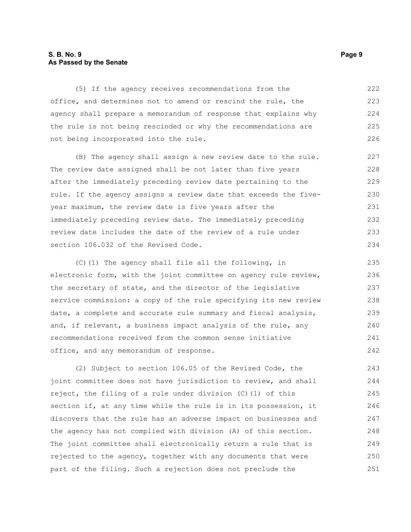#### **S. B. No. 9 Page 9 As Passed by the Senate**

(5) If the agency receives recommendations from the office, and determines not to amend or rescind the rule, the agency shall prepare a memorandum of response that explains why the rule is not being rescinded or why the recommendations are not being incorporated into the rule. 222 223 224 225 226

(B) The agency shall assign a new review date to the rule. The review date assigned shall be not later than five years after the immediately preceding review date pertaining to the rule. If the agency assigns a review date that exceeds the fiveyear maximum, the review date is five years after the immediately preceding review date. The immediately preceding review date includes the date of the review of a rule under section 106.032 of the Revised Code.

(C)(1) The agency shall file all the following, in electronic form, with the joint committee on agency rule review, the secretary of state, and the director of the legislative service commission: a copy of the rule specifying its new review date, a complete and accurate rule summary and fiscal analysis, and, if relevant, a business impact analysis of the rule, any recommendations received from the common sense initiative office, and any memorandum of response. 235 236 237 238 239 240 241 242

(2) Subject to section 106.05 of the Revised Code, the joint committee does not have jurisdiction to review, and shall reject, the filing of a rule under division (C)(1) of this section if, at any time while the rule is in its possession, it discovers that the rule has an adverse impact on businesses and the agency has not complied with division (A) of this section. The joint committee shall electronically return a rule that is rejected to the agency, together with any documents that were part of the filing. Such a rejection does not preclude the 243 244 245 246 247 248 249 250 251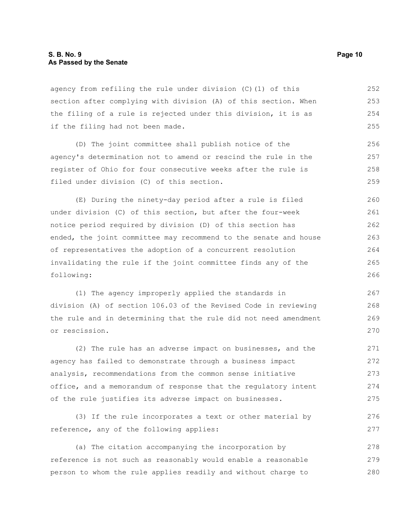agency from refiling the rule under division (C)(1) of this section after complying with division (A) of this section. When the filing of a rule is rejected under this division, it is as if the filing had not been made. 252 253 254 255

(D) The joint committee shall publish notice of the agency's determination not to amend or rescind the rule in the register of Ohio for four consecutive weeks after the rule is filed under division (C) of this section. 256 257 258 259

(E) During the ninety-day period after a rule is filed under division (C) of this section, but after the four-week notice period required by division (D) of this section has ended, the joint committee may recommend to the senate and house of representatives the adoption of a concurrent resolution invalidating the rule if the joint committee finds any of the following: 260 261 262 263 264 265 266

(1) The agency improperly applied the standards in division (A) of section 106.03 of the Revised Code in reviewing the rule and in determining that the rule did not need amendment or rescission. 267 268 269 270

(2) The rule has an adverse impact on businesses, and the agency has failed to demonstrate through a business impact analysis, recommendations from the common sense initiative office, and a memorandum of response that the regulatory intent of the rule justifies its adverse impact on businesses. 271 272 273 274 275

(3) If the rule incorporates a text or other material by reference, any of the following applies: 276 277

(a) The citation accompanying the incorporation by reference is not such as reasonably would enable a reasonable person to whom the rule applies readily and without charge to 278 279 280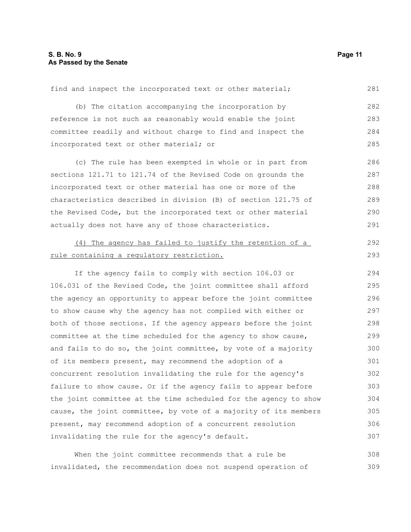| find and inspect the incorporated text or other material;        | 281 |
|------------------------------------------------------------------|-----|
| (b) The citation accompanying the incorporation by               | 282 |
| reference is not such as reasonably would enable the joint       | 283 |
| committee readily and without charge to find and inspect the     | 284 |
| incorporated text or other material; or                          | 285 |
| (c) The rule has been exempted in whole or in part from          | 286 |
| sections 121.71 to 121.74 of the Revised Code on grounds the     | 287 |
| incorporated text or other material has one or more of the       | 288 |
| characteristics described in division (B) of section 121.75 of   | 289 |
| the Revised Code, but the incorporated text or other material    | 290 |
| actually does not have any of those characteristics.             | 291 |
| (4) The agency has failed to justify the retention of a          | 292 |
| rule containing a regulatory restriction.                        | 293 |
| If the agency fails to comply with section 106.03 or             | 294 |
| 106.031 of the Revised Code, the joint committee shall afford    | 295 |
| the agency an opportunity to appear before the joint committee   | 296 |
| to show cause why the agency has not complied with either or     | 297 |
| both of those sections. If the agency appears before the joint   | 298 |
| committee at the time scheduled for the agency to show cause,    | 299 |
| and fails to do so, the joint committee, by vote of a majority   | 300 |
| of its members present, may recommend the adoption of a          | 301 |
| concurrent resolution invalidating the rule for the agency's     | 302 |
| failure to show cause. Or if the agency fails to appear before   | 303 |
| the joint committee at the time scheduled for the agency to show | 304 |
| cause, the joint committee, by vote of a majority of its members | 305 |
| present, may recommend adoption of a concurrent resolution       | 306 |
| invalidating the rule for the agency's default.                  | 307 |
|                                                                  |     |

When the joint committee recommends that a rule be invalidated, the recommendation does not suspend operation of 308 309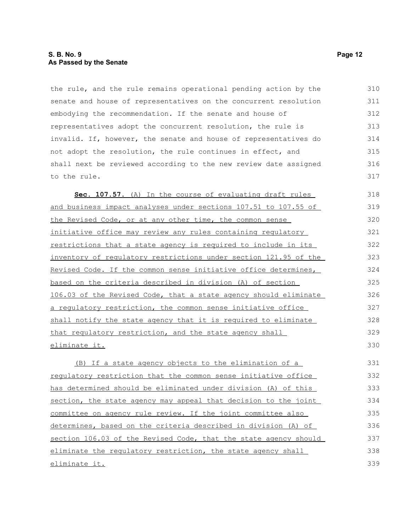#### **S. B. No. 9 Page 12 As Passed by the Senate**

the rule, and the rule remains operational pending action by the senate and house of representatives on the concurrent resolution embodying the recommendation. If the senate and house of representatives adopt the concurrent resolution, the rule is invalid. If, however, the senate and house of representatives do not adopt the resolution, the rule continues in effect, and shall next be reviewed according to the new review date assigned to the rule. 310 311 312 313 314 315 316 317

Sec. 107.57. (A) In the course of evaluating draft rules and business impact analyses under sections 107.51 to 107.55 of the Revised Code, or at any other time, the common sense initiative office may review any rules containing regulatory restrictions that a state agency is required to include in its inventory of regulatory restrictions under section 121.95 of the Revised Code. If the common sense initiative office determines, based on the criteria described in division (A) of section 106.03 of the Revised Code, that a state agency should eliminate a regulatory restriction, the common sense initiative office shall notify the state agency that it is required to eliminate that regulatory restriction, and the state agency shall eliminate it. 318 319 320 321 322 323 324 325 326 327 328 329 330

(B) If a state agency objects to the elimination of a regulatory restriction that the common sense initiative office has determined should be eliminated under division (A) of this section, the state agency may appeal that decision to the joint committee on agency rule review. If the joint committee also determines, based on the criteria described in division (A) of section 106.03 of the Revised Code, that the state agency should eliminate the regulatory restriction, the state agency shall eliminate it. 331 332 333 334 335 336 337 338 339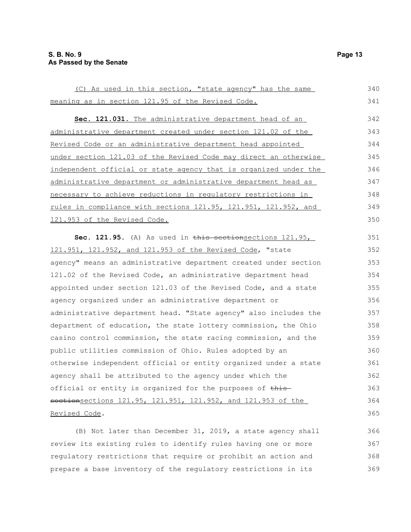(C) As used in this section, "state agency" has the same meaning as in section 121.95 of the Revised Code. **Sec. 121.031.** The administrative department head of an administrative department created under section 121.02 of the Revised Code or an administrative department head appointed under section 121.03 of the Revised Code may direct an otherwise independent official or state agency that is organized under the administrative department or administrative department head as necessary to achieve reductions in regulatory restrictions in rules in compliance with sections 121.95, 121.951, 121.952, and 121.953 of the Revised Code. Sec. 121.95. (A) As used in this sectionsections 121.95, 121.951, 121.952, and 121.953 of the Revised Code, "state agency" means an administrative department created under section 121.02 of the Revised Code, an administrative department head appointed under section 121.03 of the Revised Code, and a state agency organized under an administrative department or administrative department head. "State agency" also includes the department of education, the state lottery commission, the Ohio casino control commission, the state racing commission, and the public utilities commission of Ohio. Rules adopted by an otherwise independent official or entity organized under a state agency shall be attributed to the agency under which the official or entity is organized for the purposes of thissectionsections 121.95, 121.951, 121.952, and 121.953 of the Revised Code. 340 341 342 343 344 345 346 347 348 349 350 351 352 353 354 355 356 357 358 359 360 361 362 363 364 365

(B) Not later than December 31, 2019, a state agency shall review its existing rules to identify rules having one or more regulatory restrictions that require or prohibit an action and prepare a base inventory of the regulatory restrictions in its 366 367 368 369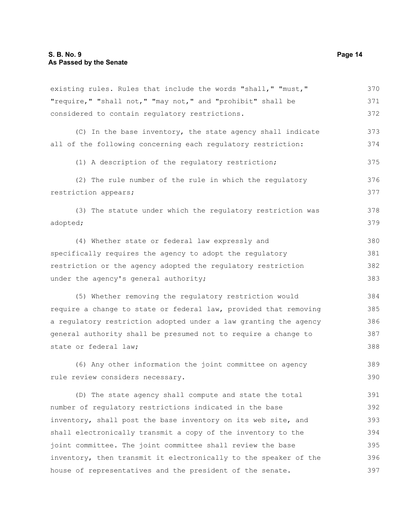existing rules. Rules that include the words "shall," "must," "require," "shall not," "may not," and "prohibit" shall be considered to contain regulatory restrictions. (C) In the base inventory, the state agency shall indicate all of the following concerning each regulatory restriction: (1) A description of the regulatory restriction; (2) The rule number of the rule in which the regulatory restriction appears; (3) The statute under which the regulatory restriction was adopted; (4) Whether state or federal law expressly and specifically requires the agency to adopt the regulatory restriction or the agency adopted the regulatory restriction under the agency's general authority; (5) Whether removing the regulatory restriction would require a change to state or federal law, provided that removing a regulatory restriction adopted under a law granting the agency general authority shall be presumed not to require a change to state or federal law; (6) Any other information the joint committee on agency rule review considers necessary. (D) The state agency shall compute and state the total number of regulatory restrictions indicated in the base inventory, shall post the base inventory on its web site, and shall electronically transmit a copy of the inventory to the joint committee. The joint committee shall review the base inventory, then transmit it electronically to the speaker of the 370 371 372 373 374 375 376 377 378 379 380 381 382 383 384 385 386 387 388 389 390 391 392 393 394 395 396

house of representatives and the president of the senate.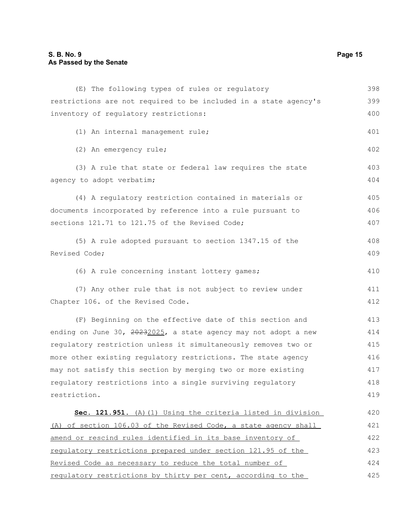### **S. B. No. 9 Page 15 As Passed by the Senate**

| (E) The following types of rules or regulatory                   | 398 |
|------------------------------------------------------------------|-----|
| restrictions are not required to be included in a state agency's | 399 |
| inventory of regulatory restrictions:                            | 400 |
| (1) An internal management rule;                                 | 401 |
| (2) An emergency rule;                                           | 402 |
| (3) A rule that state or federal law requires the state          | 403 |
| agency to adopt verbatim;                                        | 404 |
| (4) A regulatory restriction contained in materials or           | 405 |
| documents incorporated by reference into a rule pursuant to      | 406 |
| sections 121.71 to 121.75 of the Revised Code;                   | 407 |
| (5) A rule adopted pursuant to section 1347.15 of the            | 408 |
| Revised Code;                                                    | 409 |
| (6) A rule concerning instant lottery games;                     | 410 |
| (7) Any other rule that is not subject to review under           | 411 |
| Chapter 106. of the Revised Code.                                | 412 |
| (F) Beginning on the effective date of this section and          | 413 |
| ending on June 30, 20232025, a state agency may not adopt a new  | 414 |
| regulatory restriction unless it simultaneously removes two or   | 415 |
| more other existing regulatory restrictions. The state agency    | 416 |
| may not satisfy this section by merging two or more existing     | 417 |
| requlatory restrictions into a single surviving requlatory       | 418 |
| restriction.                                                     | 419 |
| Sec. 121.951. (A) (1) Using the criteria listed in division      | 420 |
| (A) of section 106.03 of the Revised Code, a state agency shall  | 421 |
| amend or rescind rules identified in its base inventory of       | 422 |
| regulatory restrictions prepared under section 121.95 of the     | 423 |
| Revised Code as necessary to reduce the total number of          | 424 |
| requiatory restrictions by thirty per cent, according to the     | 425 |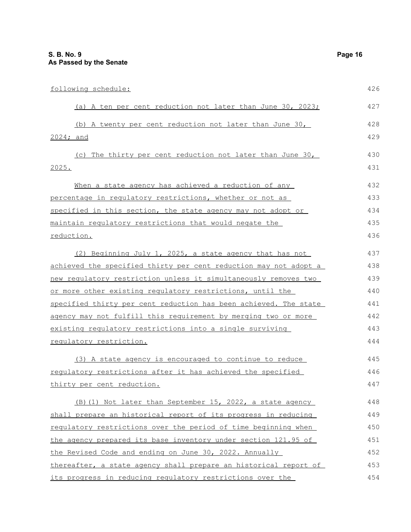| following schedule:                                              | 426 |
|------------------------------------------------------------------|-----|
| (a) A ten per cent reduction not later than June 30, 2023;       | 427 |
| (b) A twenty per cent reduction not later than June 30,          | 428 |
| 2024; and                                                        | 429 |
| (c) The thirty per cent reduction not later than June 30,        | 430 |
| 2025.                                                            | 431 |
| When a state agency has achieved a reduction of any              | 432 |
| percentage in regulatory restrictions, whether or not as         | 433 |
| specified in this section, the state agency may not adopt or     | 434 |
| maintain regulatory restrictions that would negate the           | 435 |
| reduction.                                                       | 436 |
| (2) Beginning July 1, 2025, a state agency that has not          | 437 |
| achieved the specified thirty per cent reduction may not adopt a | 438 |
| new requlatory restriction unless it simultaneously removes two  | 439 |
| or more other existing regulatory restrictions, until the        | 440 |
| specified thirty per cent reduction has been achieved. The state | 441 |
| agency may not fulfill this requirement by merging two or more   | 442 |
| existing regulatory restrictions into a single surviving         | 443 |
| regulatory restriction.                                          | 444 |
| (3) A state agency is encouraged to continue to reduce           | 445 |
| requlatory restrictions after it has achieved the specified      | 446 |
| thirty per cent reduction.                                       | 447 |
| (B) (1) Not later than September 15, 2022, a state agency        | 448 |
| shall prepare an historical report of its progress in reducing   | 449 |
| requlatory restrictions over the period of time beginning when   | 450 |
| the agency prepared its base inventory under section 121.95 of   | 451 |
| the Revised Code and ending on June 30, 2022. Annually           | 452 |
| thereafter, a state agency shall prepare an historical report of | 453 |
| its progress in reducing regulatory restrictions over the        | 454 |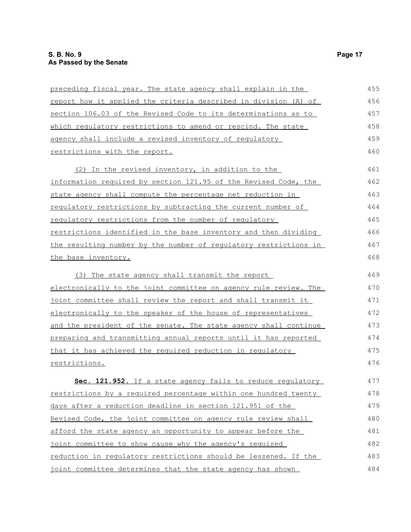| preceding fiscal year. The state agency shall explain in the           | 455 |
|------------------------------------------------------------------------|-----|
| <u>report how it applied the criteria described in division (A) of</u> | 456 |
| section 106.03 of the Revised Code to its determinations as to         | 457 |
| which regulatory restrictions to amend or rescind. The state           | 458 |
| agency shall include a revised inventory of requlatory                 | 459 |
| restrictions with the report.                                          | 460 |
| (2) In the revised inventory, in addition to the                       | 461 |
| information required by section 121.95 of the Revised Code, the        | 462 |
| state agency shall compute the percentage net reduction in             | 463 |
| <u>requlatory restrictions by subtracting the current number of</u>    | 464 |
| regulatory restrictions from the number of regulatory                  | 465 |
| restrictions identified in the base inventory and then dividing        | 466 |
| the resulting number by the number of regulatory restrictions in       | 467 |
| the base inventory.                                                    | 468 |
| (3) The state agency shall transmit the report                         | 469 |
| electronically to the joint committee on agency rule review. The       | 470 |
| joint committee shall review the report and shall transmit it          | 471 |
| electronically to the speaker of the house of representatives          | 472 |
| and the president of the senate. The state agency shall continue       | 473 |
| preparing and transmitting annual reports until it has reported        | 474 |
| that it has achieved the required reduction in regulatory              | 475 |
| restrictions.                                                          | 476 |
| Sec. 121.952. If a state agency fails to reduce regulatory             | 477 |
| restrictions by a required percentage within one hundred twenty        | 478 |
| days after a reduction deadline in section 121.951 of the              | 479 |
| Revised Code, the joint committee on agency rule review shall          | 480 |
| afford the state agency an opportunity to appear before the            | 481 |
| joint committee to show cause why the agency's required                | 482 |
| reduction in regulatory restrictions should be lessened. If the        | 483 |
| joint committee determines that the state agency has shown             | 484 |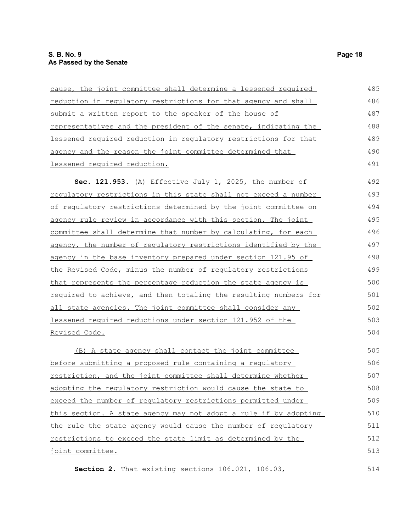| cause, the joint committee shall determine a lessened required         | 485 |
|------------------------------------------------------------------------|-----|
| reduction in regulatory restrictions for that agency and shall         | 486 |
| submit a written report to the speaker of the house of                 | 487 |
| <u>representatives and the president of the senate, indicating the</u> | 488 |
| lessened required reduction in regulatory restrictions for that        | 489 |
| agency and the reason the joint committee determined that              | 490 |
| lessened required reduction.                                           | 491 |
| Sec. 121.953. (A) Effective July 1, 2025, the number of                | 492 |
| requiatory restrictions in this state shall not exceed a number        | 493 |
| of requlatory restrictions determined by the joint committee on        | 494 |
| agency rule review in accordance with this section. The joint          | 495 |
| committee shall determine that number by calculating, for each         | 496 |
| agency, the number of regulatory restrictions identified by the        | 497 |
| agency in the base inventory prepared under section 121.95 of          | 498 |
| the Revised Code, minus the number of requlatory restrictions          | 499 |
| that represents the percentage reduction the state agency is           | 500 |
| required to achieve, and then totaling the resulting numbers for       | 501 |
| all state agencies. The joint committee shall consider any             | 502 |
| lessened required reductions under section 121.952 of the              | 503 |
| <u>Revised Code.</u>                                                   | 504 |
| (B) A state agency shall contact the joint committee                   | 505 |
| before submitting a proposed rule containing a regulatory              | 506 |
| restriction, and the joint committee shall determine whether           | 507 |
| adopting the regulatory restriction would cause the state to           | 508 |
| exceed the number of regulatory restrictions permitted under           | 509 |
| this section. A state agency may not adopt a rule if by adopting       | 510 |
| the rule the state agency would cause the number of regulatory         | 511 |
| restrictions to exceed the state limit as determined by the            | 512 |
| joint committee.                                                       | 513 |

**Section 2.** That existing sections 106.021, 106.03,